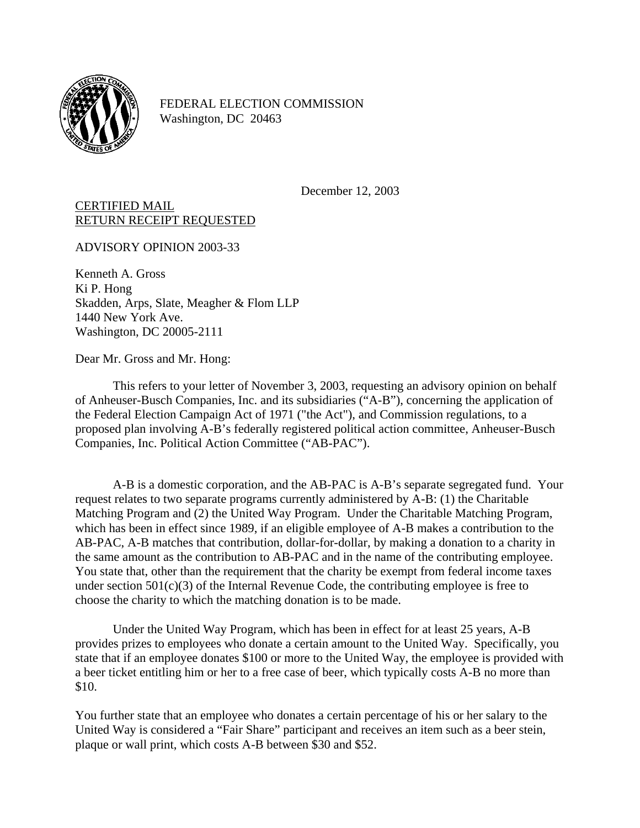

FEDERAL ELECTION COMMISSION Washington, DC 20463

December 12, 2003

## CERTIFIED MAIL RETURN RECEIPT REQUESTED

ADVISORY OPINION 2003-33

Kenneth A. Gross Ki P. Hong Skadden, Arps, Slate, Meagher & Flom LLP 1440 New York Ave. Washington, DC 20005-2111

Dear Mr. Gross and Mr. Hong:

This refers to your letter of November 3, 2003, requesting an advisory opinion on behalf of Anheuser-Busch Companies, Inc. and its subsidiaries ("A-B"), concerning the application of the Federal Election Campaign Act of 1971 ("the Act"), and Commission regulations, to a proposed plan involving A-B's federally registered political action committee, Anheuser-Busch Companies, Inc. Political Action Committee ("AB-PAC").

A-B is a domestic corporation, and the AB-PAC is A-B's separate segregated fund. Your request relates to two separate programs currently administered by A-B: (1) the Charitable Matching Program and (2) the United Way Program. Under the Charitable Matching Program, which has been in effect since 1989, if an eligible employee of A-B makes a contribution to the AB-PAC, A-B matches that contribution, dollar-for-dollar, by making a donation to a charity in the same amount as the contribution to AB-PAC and in the name of the contributing employee. You state that, other than the requirement that the charity be exempt from federal income taxes under section  $501(c)(3)$  of the Internal Revenue Code, the contributing employee is free to choose the charity to which the matching donation is to be made.

Under the United Way Program, which has been in effect for at least 25 years, A-B provides prizes to employees who donate a certain amount to the United Way. Specifically, you state that if an employee donates \$100 or more to the United Way, the employee is provided with a beer ticket entitling him or her to a free case of beer, which typically costs A-B no more than \$10.

You further state that an employee who donates a certain percentage of his or her salary to the United Way is considered a "Fair Share" participant and receives an item such as a beer stein, plaque or wall print, which costs A-B between \$30 and \$52.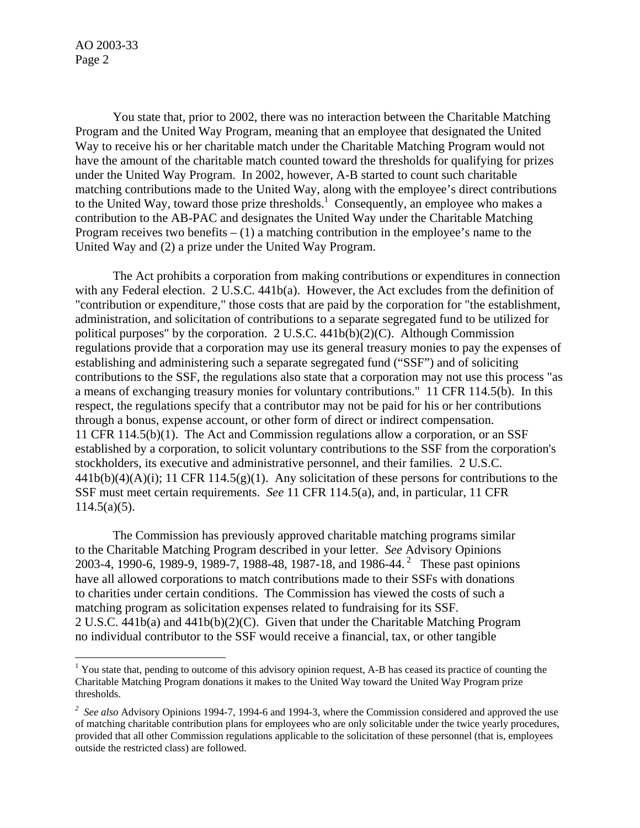AO 2003-33 Page 2

 You state that, prior to 2002, there was no interaction between the Charitable Matching Program and the United Way Program, meaning that an employee that designated the United Way to receive his or her charitable match under the Charitable Matching Program would not have the amount of the charitable match counted toward the thresholds for qualifying for prizes under the United Way Program. In 2002, however, A-B started to count such charitable matching contributions made to the United Way, along with the employee's direct contributions to the United Way, toward those prize thresholds.<sup>1</sup> Consequently, an employee who makes a contribution to the AB-PAC and designates the United Way under the Charitable Matching Program receives two benefits  $- (1)$  a matching contribution in the employee's name to the United Way and (2) a prize under the United Way Program.

 The Act prohibits a corporation from making contributions or expenditures in connection with any Federal election. 2 U.S.C. 441b(a). However, the Act excludes from the definition of "contribution or expenditure," those costs that are paid by the corporation for "the establishment, administration, and solicitation of contributions to a separate segregated fund to be utilized for political purposes" by the corporation. 2 U.S.C. 441b(b)(2)(C). Although Commission regulations provide that a corporation may use its general treasury monies to pay the expenses of establishing and administering such a separate segregated fund ("SSF") and of soliciting contributions to the SSF, the regulations also state that a corporation may not use this process "as a means of exchanging treasury monies for voluntary contributions." 11 CFR 114.5(b). In this respect, the regulations specify that a contributor may not be paid for his or her contributions through a bonus, expense account, or other form of direct or indirect compensation. 11 CFR 114.5(b)(1). The Act and Commission regulations allow a corporation, or an SSF established by a corporation, to solicit voluntary contributions to the SSF from the corporation's stockholders, its executive and administrative personnel, and their families. 2 U.S.C.  $441b(b)(4)(A)(i)$ ; 11 CFR 114.5(g)(1). Any solicitation of these persons for contributions to the SSF must meet certain requirements. *See* 11 CFR 114.5(a), and, in particular, 11 CFR  $114.5(a)(5)$ .

 The Commission has previously approved charitable matching programs similar to the Charitable Matching Program described in your letter. *See* Advisory Opinions 2003-4, 1990-6, 1989-9, 1989-7, 1988-48, 1987-18, and 1986-44. [2](#page-1-1) These past opinions have all allowed corporations to match contributions made to their SSFs with donations to charities under certain conditions. The Commission has viewed the costs of such a matching program as solicitation expenses related to fundraising for its SSF. 2 U.S.C. 441b(a) and 441b(b)(2)(C). Given that under the Charitable Matching Program no individual contributor to the SSF would receive a financial, tax, or other tangible

<span id="page-1-0"></span><sup>&</sup>lt;sup>1</sup> You state that, pending to outcome of this advisory opinion request, A-B has ceased its practice of counting the Charitable Matching Program donations it makes to the United Way toward the United Way Program prize thresholds.

<span id="page-1-1"></span><sup>&</sup>lt;sup>2</sup> See also Advisory Opinions 1994-7, 1994-6 and 1994-3, where the Commission considered and approved the use of matching charitable contribution plans for employees who are only solicitable under the twice yearly procedures, provided that all other Commission regulations applicable to the solicitation of these personnel (that is, employees outside the restricted class) are followed.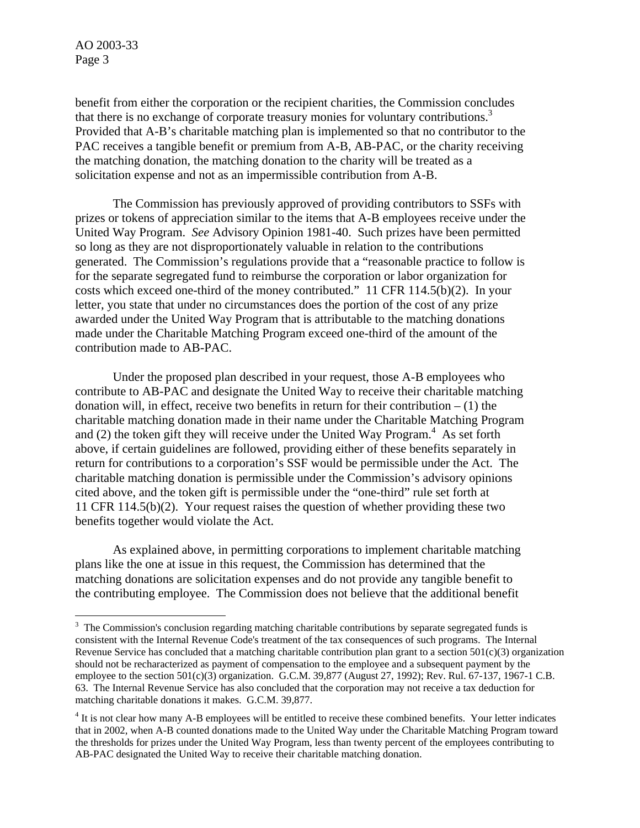AO 2003-33 Page 3

 $\overline{a}$ 

benefit from either the corporation or the recipient charities, the Commission concludes that there is no exchange of corporate treasury monies for voluntary contributions.<sup>3</sup> Provided that A-B's charitable matching plan is implemented so that no contributor to the PAC receives a tangible benefit or premium from A-B, AB-PAC, or the charity receiving the matching donation, the matching donation to the charity will be treated as a solicitation expense and not as an impermissible contribution from A-B.

 The Commission has previously approved of providing contributors to SSFs with prizes or tokens of appreciation similar to the items that A-B employees receive under the United Way Program. *See* Advisory Opinion 1981-40. Such prizes have been permitted so long as they are not disproportionately valuable in relation to the contributions generated. The Commission's regulations provide that a "reasonable practice to follow is for the separate segregated fund to reimburse the corporation or labor organization for costs which exceed one-third of the money contributed." 11 CFR 114.5(b)(2). In your letter, you state that under no circumstances does the portion of the cost of any prize awarded under the United Way Program that is attributable to the matching donations made under the Charitable Matching Program exceed one-third of the amount of the contribution made to AB-PAC.

Under the proposed plan described in your request, those A-B employees who contribute to AB-PAC and designate the United Way to receive their charitable matching donation will, in effect, receive two benefits in return for their contribution  $- (1)$  the charitable matching donation made in their name under the Charitable Matching Program and  $(2)$  the token gift they will receive under the United Way Program.<sup>[4](#page-2-1)</sup> As set forth above, if certain guidelines are followed, providing either of these benefits separately in return for contributions to a corporation's SSF would be permissible under the Act. The charitable matching donation is permissible under the Commission's advisory opinions cited above, and the token gift is permissible under the "one-third" rule set forth at 11 CFR 114.5(b)(2). Your request raises the question of whether providing these two benefits together would violate the Act.

As explained above, in permitting corporations to implement charitable matching plans like the one at issue in this request, the Commission has determined that the matching donations are solicitation expenses and do not provide any tangible benefit to the contributing employee. The Commission does not believe that the additional benefit

<span id="page-2-0"></span> $3$  The Commission's conclusion regarding matching charitable contributions by separate segregated funds is consistent with the Internal Revenue Code's treatment of the tax consequences of such programs. The Internal Revenue Service has concluded that a matching charitable contribution plan grant to a section  $501(c)(3)$  organization should not be recharacterized as payment of compensation to the employee and a subsequent payment by the employee to the section  $501(c)(3)$  organization. G.C.M. 39,877 (August 27, 1992); Rev. Rul. 67-137, 1967-1 C.B. 63. The Internal Revenue Service has also concluded that the corporation may not receive a tax deduction for matching charitable donations it makes. G.C.M. 39,877.

<span id="page-2-1"></span><sup>&</sup>lt;sup>4</sup> It is not clear how many A-B employees will be entitled to receive these combined benefits. Your letter indicates that in 2002, when A-B counted donations made to the United Way under the Charitable Matching Program toward the thresholds for prizes under the United Way Program, less than twenty percent of the employees contributing to AB-PAC designated the United Way to receive their charitable matching donation.